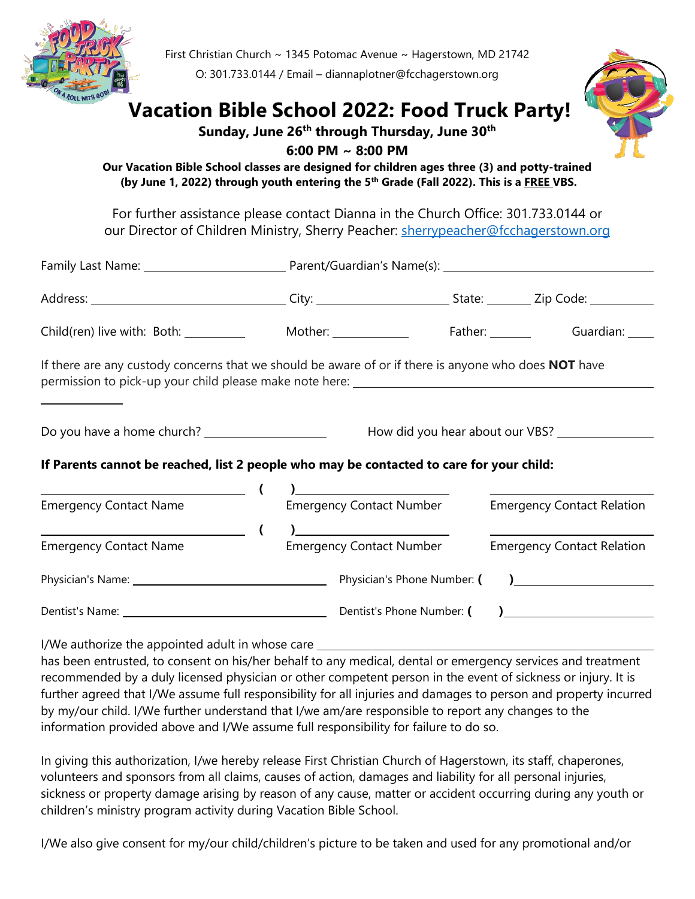

First Christian Church ~ 1345 Potomac Avenue ~ Hagerstown, MD 21742

O: 301.733.0144 / Email – diannaplotner@fcchagerstown.org

## **Vacation Bible School 2022: Food Truck Party!**

## **Sunday, June 26th through Thursday, June 30th**



**6:00 PM ~ 8:00 PM**

**Our Vacation Bible School classes are designed for children ages three (3) and potty-trained (by June 1, 2022) through youth entering the 5th Grade (Fall 2022). This is a FREE VBS.**

For further assistance please contact Dianna in the Church Office: 301.733.0144 or our Director of Children Ministry, Sherry Peacher: [sherrypeacher@fcchagerstown.org](mailto:sherrypeacher@fcchagerstown.org)

|                                                                                                             |  | Mother: _______________         |  |  | Father: Guardian:                         |  |  |
|-------------------------------------------------------------------------------------------------------------|--|---------------------------------|--|--|-------------------------------------------|--|--|
| If there are any custody concerns that we should be aware of or if there is anyone who does <b>NOT</b> have |  |                                 |  |  |                                           |  |  |
| Do you have a home church? _____________________<br>How did you hear about our VBS? ___________             |  |                                 |  |  |                                           |  |  |
| If Parents cannot be reached, list 2 people who may be contacted to care for your child:                    |  |                                 |  |  |                                           |  |  |
|                                                                                                             |  |                                 |  |  |                                           |  |  |
| <b>Emergency Contact Name</b>                                                                               |  | <b>Emergency Contact Number</b> |  |  | <b>Emergency Contact Relation</b>         |  |  |
|                                                                                                             |  |                                 |  |  |                                           |  |  |
| <b>Emergency Contact Name</b>                                                                               |  | <b>Emergency Contact Number</b> |  |  | <b>Emergency Contact Relation</b>         |  |  |
|                                                                                                             |  | Physician's Phone Number: (     |  |  | ) and the set of $\overline{\phantom{a}}$ |  |  |
|                                                                                                             |  |                                 |  |  | ) <u>_____________</u>                    |  |  |
|                                                                                                             |  |                                 |  |  |                                           |  |  |

I/We authorize the appointed adult in whose care

has been entrusted, to consent on his/her behalf to any medical, dental or emergency services and treatment recommended by a duly licensed physician or other competent person in the event of sickness or injury. It is further agreed that I/We assume full responsibility for all injuries and damages to person and property incurred by my/our child. I/We further understand that I/we am/are responsible to report any changes to the information provided above and I/We assume full responsibility for failure to do so.

In giving this authorization, I/we hereby release First Christian Church of Hagerstown, its staff, chaperones, volunteers and sponsors from all claims, causes of action, damages and liability for all personal injuries, sickness or property damage arising by reason of any cause, matter or accident occurring during any youth or children's ministry program activity during Vacation Bible School.

I/We also give consent for my/our child/children's picture to be taken and used for any promotional and/or